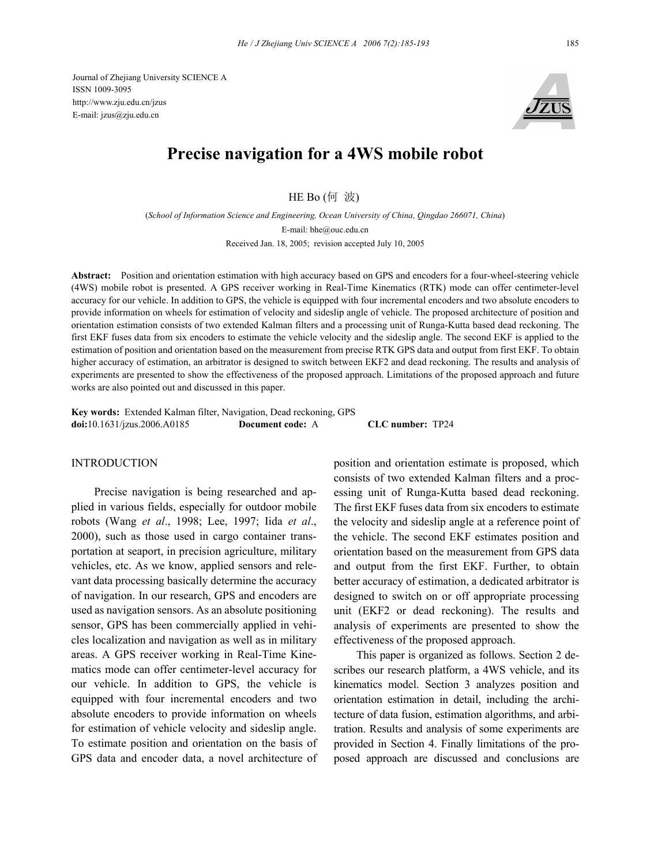

# **Precise navigation for a 4WS mobile robot**

HE Bo (何 波)

(*School of Information Science and Engineering, Ocean University of China, Qingdao 266071, China*) E-mail: bhe@ouc.edu.cn Received Jan. 18, 2005; revision accepted July 10, 2005

**Abstract:** Position and orientation estimation with high accuracy based on GPS and encoders for a four-wheel-steering vehicle (4WS) mobile robot is presented. A GPS receiver working in Real-Time Kinematics (RTK) mode can offer centimeter-level accuracy for our vehicle. In addition to GPS, the vehicle is equipped with four incremental encoders and two absolute encoders to provide information on wheels for estimation of velocity and sideslip angle of vehicle. The proposed architecture of position and orientation estimation consists of two extended Kalman filters and a processing unit of Runga-Kutta based dead reckoning. The first EKF fuses data from six encoders to estimate the vehicle velocity and the sideslip angle. The second EKF is applied to the estimation of position and orientation based on the measurement from precise RTK GPS data and output from first EKF. To obtain higher accuracy of estimation, an arbitrator is designed to switch between EKF2 and dead reckoning. The results and analysis of experiments are presented to show the effectiveness of the proposed approach. Limitations of the proposed approach and future works are also pointed out and discussed in this paper.

**Key words:** Extended Kalman filter, Navigation, Dead reckoning, GPS **doi:**10.1631/jzus.2006.A0185 **Document code:** A **CLC number:** TP24

## INTRODUCTION

Precise navigation is being researched and applied in various fields, especially for outdoor mobile robots (Wang *et al*., 1998; Lee, 1997; Iida *et al*., 2000), such as those used in cargo container transportation at seaport, in precision agriculture, military vehicles, etc. As we know, applied sensors and relevant data processing basically determine the accuracy of navigation. In our research, GPS and encoders are used as navigation sensors. As an absolute positioning sensor, GPS has been commercially applied in vehicles localization and navigation as well as in military areas. A GPS receiver working in Real-Time Kinematics mode can offer centimeter-level accuracy for our vehicle. In addition to GPS, the vehicle is equipped with four incremental encoders and two absolute encoders to provide information on wheels for estimation of vehicle velocity and sideslip angle. To estimate position and orientation on the basis of GPS data and encoder data, a novel architecture of position and orientation estimate is proposed, which consists of two extended Kalman filters and a processing unit of Runga-Kutta based dead reckoning. The first EKF fuses data from six encoders to estimate the velocity and sideslip angle at a reference point of the vehicle. The second EKF estimates position and orientation based on the measurement from GPS data and output from the first EKF. Further, to obtain better accuracy of estimation, a dedicated arbitrator is designed to switch on or off appropriate processing unit (EKF2 or dead reckoning). The results and analysis of experiments are presented to show the effectiveness of the proposed approach.

This paper is organized as follows. Section 2 describes our research platform, a 4WS vehicle, and its kinematics model. Section 3 analyzes position and orientation estimation in detail, including the architecture of data fusion, estimation algorithms, and arbitration. Results and analysis of some experiments are provided in Section 4. Finally limitations of the proposed approach are discussed and conclusions are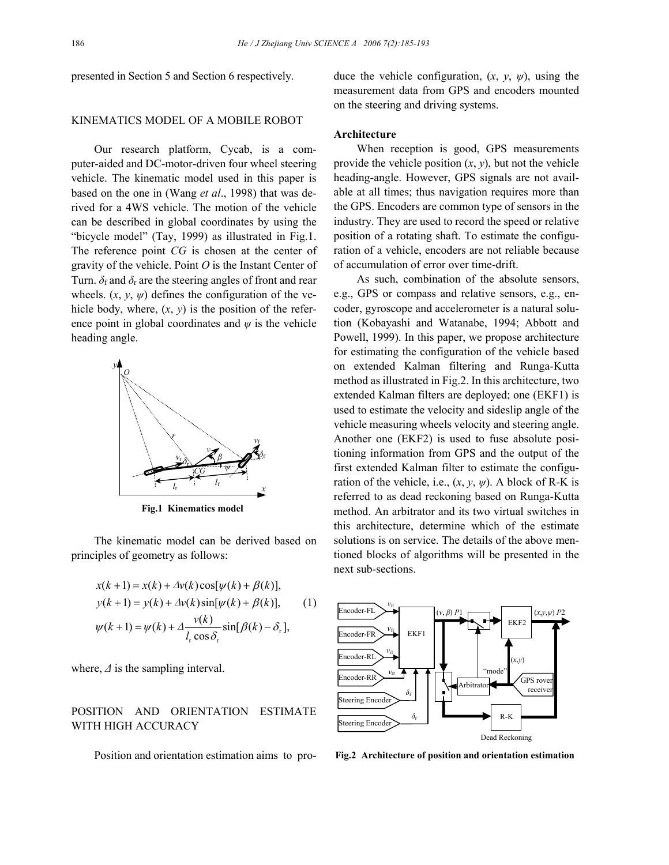presented in Section 5 and Section 6 respectively.

# KINEMATICS MODEL OF A MOBILE ROBOT

Our research platform, Cycab, is a computer-aided and DC-motor-driven four wheel steering vehicle. The kinematic model used in this paper is based on the one in (Wang *et al*., 1998) that was derived for a 4WS vehicle. The motion of the vehicle can be described in global coordinates by using the "bicycle model" (Tay, 1999) as illustrated in Fig.1. The reference point *CG* is chosen at the center of gravity of the vehicle. Point *O* is the Instant Center of Turn.  $\delta_f$  and  $\delta_r$  are the steering angles of front and rear wheels.  $(x, y, \psi)$  defines the configuration of the vehicle body, where,  $(x, y)$  is the position of the reference point in global coordinates and  $\psi$  is the vehicle heading angle.



**Fig.1 Kinematics model** 

The kinematic model can be derived based on principles of geometry as follows:

$$
x(k+1) = x(k) + \Delta v(k) \cos[\psi(k) + \beta(k)],
$$
  
\n
$$
y(k+1) = y(k) + \Delta v(k) \sin[\psi(k) + \beta(k)],
$$
  
\n
$$
\psi(k+1) = \psi(k) + \Delta \frac{v(k)}{l_r \cos \delta_r} \sin[\beta(k) - \delta_r],
$$

where, *∆* is the sampling interval.

# POSITION AND ORIENTATION ESTIMATE WITH HIGH ACCURACY

Position and orientation estimation aims to pro-

duce the vehicle configuration,  $(x, y, \psi)$ , using the measurement data from GPS and encoders mounted on the steering and driving systems.

# **Architecture**

When reception is good, GPS measurements provide the vehicle position  $(x, y)$ , but not the vehicle heading-angle. However, GPS signals are not available at all times; thus navigation requires more than the GPS. Encoders are common type of sensors in the industry. They are used to record the speed or relative position of a rotating shaft. To estimate the configuration of a vehicle, encoders are not reliable because of accumulation of error over time-drift.

As such, combination of the absolute sensors, e.g., GPS or compass and relative sensors, e.g., encoder, gyroscope and accelerometer is a natural solution (Kobayashi and Watanabe, 1994; Abbott and Powell, 1999). In this paper, we propose architecture for estimating the configuration of the vehicle based on extended Kalman filtering and Runga-Kutta method as illustrated in Fig.2. In this architecture, two extended Kalman filters are deployed; one (EKF1) is used to estimate the velocity and sideslip angle of the vehicle measuring wheels velocity and steering angle. Another one (EKF2) is used to fuse absolute positioning information from GPS and the output of the first extended Kalman filter to estimate the configuration of the vehicle, i.e.,  $(x, y, \psi)$ . A block of R-K is referred to as dead reckoning based on Runga-Kutta method. An arbitrator and its two virtual switches in this architecture, determine which of the estimate solutions is on service. The details of the above mentioned blocks of algorithms will be presented in the next sub-sections.



**Fig.2 Architecture of position and orientation estimation**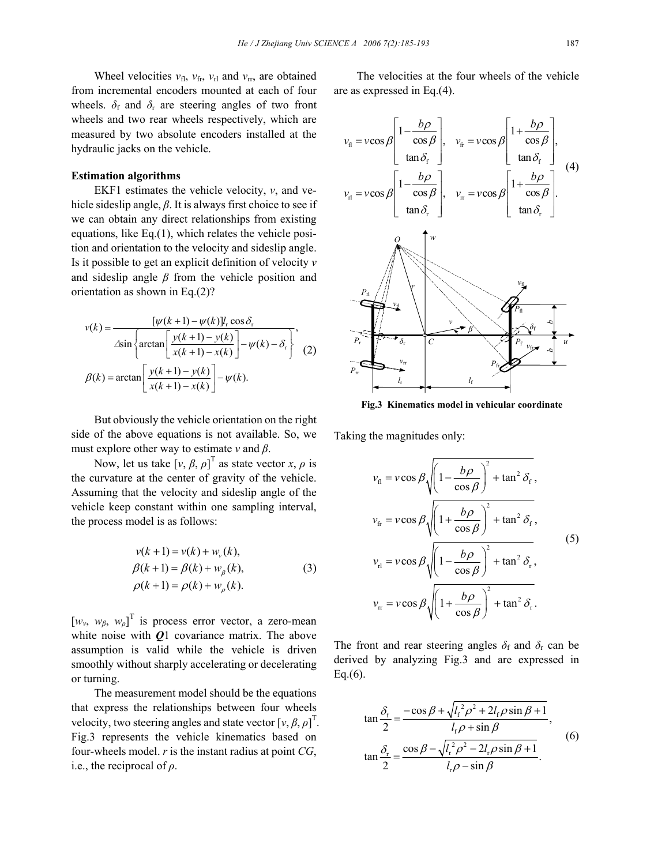Wheel velocities  $v_{\text{fl}}$ ,  $v_{\text{fr}}$ ,  $v_{\text{rl}}$  and  $v_{\text{rr}}$ , are obtained from incremental encoders mounted at each of four wheels.  $\delta_f$  and  $\delta_r$  are steering angles of two front wheels and two rear wheels respectively, which are measured by two absolute encoders installed at the hydraulic jacks on the vehicle.

## **Estimation algorithms**

EKF1 estimates the vehicle velocity, *v*, and vehicle sideslip angle, *β*. It is always first choice to see if we can obtain any direct relationships from existing equations, like Eq.(1), which relates the vehicle position and orientation to the velocity and sideslip angle. Is it possible to get an explicit definition of velocity *v* and sideslip angle *β* from the vehicle position and orientation as shown in Eq.(2)?

$$
v(k) = \frac{[\psi(k+1) - \psi(k)]l_{r} \cos \delta_{r}}{\Delta \sin \left\{ \arctan \left[ \frac{y(k+1) - y(k)}{x(k+1) - x(k)} \right] - \psi(k) - \delta_{r} \right\}},
$$
  

$$
\beta(k) = \arctan \left[ \frac{y(k+1) - y(k)}{x(k+1) - x(k)} \right] - \psi(k).
$$
 (2)

But obviously the vehicle orientation on the right side of the above equations is not available. So, we must explore other way to estimate *v* and *β*.

Now, let us take  $[v, \beta, \rho]^T$  as state vector *x*,  $\rho$  is the curvature at the center of gravity of the vehicle. Assuming that the velocity and sideslip angle of the vehicle keep constant within one sampling interval, the process model is as follows:

$$
v(k+1) = v(k) + w_v(k),\n\beta(k+1) = \beta(k) + w_\beta(k),\n\rho(k+1) = \rho(k) + w_\beta(k).
$$
\n(3)

 $[w_v, w_\beta, w_\beta]^\text{T}$  is process error vector, a zero-mean white noise with *Q*1 covariance matrix. The above assumption is valid while the vehicle is driven smoothly without sharply accelerating or decelerating or turning.

The measurement model should be the equations that express the relationships between four wheels velocity, two steering angles and state vector  $[v, \beta, \rho]$ <sup>T</sup>. Fig.3 represents the vehicle kinematics based on four-wheels model. *r* is the instant radius at point *CG*, i.e., the reciprocal of *ρ*.

The velocities at the four wheels of the vehicle are as expressed in Eq.(4).

$$
v_{\text{fl}} = v \cos \beta \left[ 1 - \frac{b\rho}{\cos \beta} \right], \quad v_{\text{fr}} = v \cos \beta \left[ 1 + \frac{b\rho}{\cos \beta} \right],
$$
  
\n
$$
v_{\text{rl}} = v \cos \beta \left[ 1 - \frac{b\rho}{\cos \beta} \right], \quad v_{\text{fr}} = v \cos \beta \left[ 1 + \frac{b\rho}{\cos \beta} \right].
$$
  
\n(4)  
\n
$$
v_{\text{fl}} = v \cos \beta \left[ 1 + \frac{b\rho}{\cos \beta} \right].
$$
  
\n(5)  
\n
$$
\rho_{\text{fl}} = \frac{v_{\text{fl}}}{\sqrt{\frac{v_{\text{fl}}}{\beta_{\text{fl}}}}}
$$
  
\n
$$
\rho_{\text{fr}} = \frac{v_{\text{fl}}}{\sqrt{\frac{v_{\text{fr}}}{\beta_{\text{fl}}}}}
$$
  
\n
$$
\rho_{\text{fr}} = \frac{v_{\text{fr}}}{\sqrt{\frac{v_{\text{fr}}}{\beta_{\text{fl}}}}}
$$
  
\n
$$
\rho_{\text{fr}} = \frac{v_{\text{fr}}}{\sqrt{\frac{v_{\text{fr}}}{\beta_{\text{fl}}}}}
$$
  
\n
$$
\rho_{\text{fr}} = \frac{v_{\text{fr}}}{\sqrt{\frac{v_{\text{fr}}}{\beta_{\text{fl}}}}}
$$

**Fig.3 Kinematics model in vehicular coordinate** 

Taking the magnitudes only:

$$
v_{\text{fl}} = v \cos \beta \sqrt{\left(1 - \frac{b\rho}{\cos \beta}\right)^2 + \tan^2 \delta_{\text{r}}},
$$
  

$$
v_{\text{fr}} = v \cos \beta \sqrt{\left(1 + \frac{b\rho}{\cos \beta}\right)^2 + \tan^2 \delta_{\text{r}}},
$$
  

$$
v_{\text{rl}} = v \cos \beta \sqrt{\left(1 - \frac{b\rho}{\cos \beta}\right)^2 + \tan^2 \delta_{\text{r}}},
$$
  

$$
v_{\text{rr}} = v \cos \beta \sqrt{\left(1 + \frac{b\rho}{\cos \beta}\right)^2 + \tan^2 \delta_{\text{r}}}.
$$
  
(5)

The front and rear steering angles  $\delta_f$  and  $\delta_r$  can be derived by analyzing Fig.3 and are expressed in Eq.(6).

$$
\tan \frac{\delta_{\rm f}}{2} = \frac{-\cos \beta + \sqrt{l_{\rm f}^2 \rho^2 + 2l_{\rm f}\rho \sin \beta + 1}}{l_{\rm f}\rho + \sin \beta},
$$
  
\n
$$
\tan \frac{\delta_{\rm r}}{2} = \frac{\cos \beta - \sqrt{l_{\rm r}^2 \rho^2 - 2l_{\rm r}\rho \sin \beta + 1}}{l_{\rm r}\rho - \sin \beta}.
$$
 (6)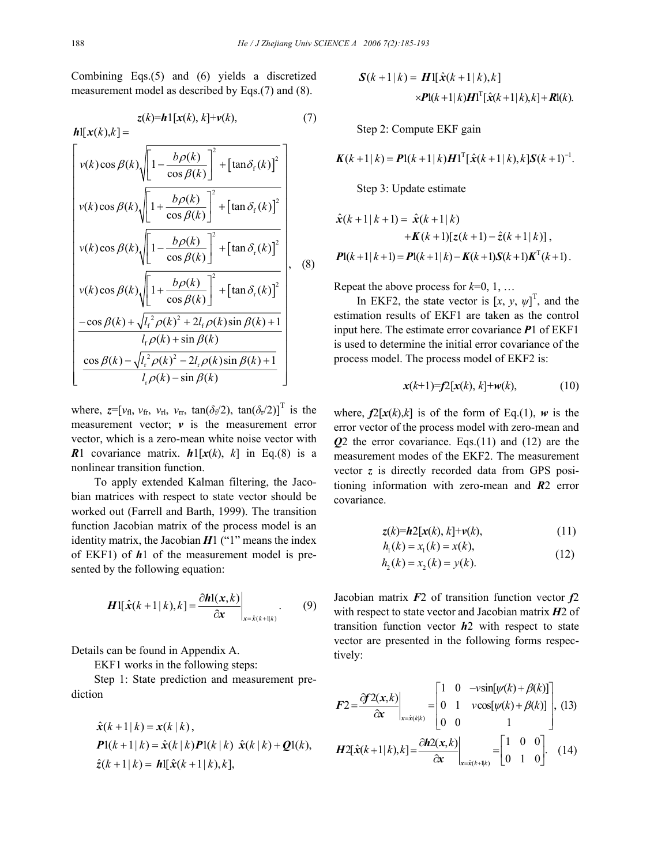Combining Eqs.(5) and (6) yields a discretized measurement model as described by Eqs.(7) and (8).

$$
z(k)=h1[x(k), k]+v(k), \qquad (7)
$$

$$
h\left[x(k),k\right]=\sqrt{\gamma(k)\cos\beta(k)\sqrt{\left[1-\frac{b\rho(k)}{\cos\beta(k)}\right]^{2}+\left[\tan\delta_{\rm f}(k)\right]^{2}}}
$$
\n
$$
v(k)\cos\beta(k)\sqrt{\left[1+\frac{b\rho(k)}{\cos\beta(k)}\right]^{2}+\left[\tan\delta_{\rm f}(k)\right]^{2}}
$$
\n
$$
v(k)\cos\beta(k)\sqrt{\left[1-\frac{b\rho(k)}{\cos\beta(k)}\right]^{2}+\left[\tan\delta_{\rm r}(k)\right]^{2}}
$$
\n
$$
v(k)\cos\beta(k)\sqrt{\left[1+\frac{b\rho(k)}{\cos\beta(k)}\right]^{2}+\left[\tan\delta_{\rm r}(k)\right]^{2}}
$$
\n
$$
-\cos\beta(k)+\sqrt{l_{\rm f}^{2}\rho(k)^{2}+2l_{\rm f}\rho(k)\sin\beta(k)+1}\frac{l_{\rm f}\rho(k)+\sin\beta(k)}{l_{\rm f}\rho(k)+\sin\beta(k)}
$$
\n
$$
\frac{\cos\beta(k)-\sqrt{l_{\rm f}^{2}\rho(k)^{2}-2l_{\rm f}\rho(k)\sin\beta(k)+1}}{l_{\rm f}\rho(k)-\sin\beta(k)}
$$

where,  $z=[v_{\text{fl}}, v_{\text{fr}}, v_{\text{rl}}, v_{\text{rr}}, \tan(\delta_f/2), \tan(\delta_f/2)]^T$  is the measurement vector; *v* is the measurement error vector, which is a zero-mean white noise vector with *R*1 covariance matrix.  $h1[x(k), k]$  in Eq.(8) is a nonlinear transition function.

To apply extended Kalman filtering, the Jacobian matrices with respect to state vector should be worked out (Farrell and Barth, 1999). The transition function Jacobian matrix of the process model is an identity matrix, the Jacobian  $H1$  ("1" means the index of EKF1) of *h*1 of the measurement model is presented by the following equation:

$$
H1[\hat{\mathbf{x}}(k+1|k),k] = \frac{\partial h1(\mathbf{x},k)}{\partial \mathbf{x}}\bigg|_{\mathbf{x}=\hat{\mathbf{x}}(k+1|k)}.\tag{9}
$$

Details can be found in Appendix A.

EKF1 works in the following steps:

Step 1: State prediction and measurement prediction

$$
\hat{x}(k+1|k) = x(k|k),\nP1(k+1|k) = \hat{x}(k|k)P1(k|k) \hat{x}(k|k) + Q1(k),\n\hat{z}(k+1|k) = h1[\hat{x}(k+1|k),k],
$$

$$
\mathbf{S}(k+1|k) = \mathbf{H}\mathbb{I}[\hat{\mathbf{x}}(k+1|k),k]
$$

$$
\times \mathbf{P}[(k+1|k)\mathbf{H}]^{\mathrm{T}}[\hat{\mathbf{x}}(k+1|k),k] + \mathbf{R}[(k)].
$$

Step 2: Compute EKF gain

$$
\mathbf{K}(k+1|k) = \mathbf{P}[(k+1|k)\mathbf{H}]^{\mathrm{T}}[\hat{\mathbf{x}}(k+1|k),k]\mathbf{S}(k+1)^{-1}.
$$

Step 3: Update estimate

$$
\hat{x}(k+1|k+1) = \hat{x}(k+1|k) \n+K(k+1)[z(k+1) - \hat{z}(k+1|k)],
$$
\n
$$
P1(k+1|k+1) = P1(k+1|k) - K(k+1)S(k+1)K^{T}(k+1).
$$

Repeat the above process for *k*=0, 1, …

In EKF2, the state vector is  $[x, y, \psi]^T$ , and the estimation results of EKF1 are taken as the control input here. The estimate error covariance *P*1 of EKF1 is used to determine the initial error covariance of the process model. The process model of EKF2 is:

$$
\mathbf{x}(k+1)=\mathbf{f}2[\mathbf{x}(k), k]+\mathbf{w}(k), \qquad (10)
$$

where,  $f2[x(k),k]$  is of the form of Eq.(1), *w* is the error vector of the process model with zero-mean and *Q*2 the error covariance. Eqs.(11) and (12) are the measurement modes of the EKF2. The measurement vector *z* is directly recorded data from GPS positioning information with zero-mean and *R*2 error covariance.

$$
z(k)=h2[x(k), k]+v(k), \qquad (11)
$$

$$
h_1(k) = x_1(k) = x(k),
$$
\n(12)

$$
h_2(k) = x_2(k) = y(k).
$$
 (12)

Jacobian matrix *F*2 of transition function vector *f*2 with respect to state vector and Jacobian matrix *H*2 of transition function vector *h*2 with respect to state vector are presented in the following forms respectively:

$$
F2 = \frac{\partial f(2(x,k))}{\partial x}\Big|_{x=\hat{x}(k|k)} = \begin{bmatrix} 1 & 0 & -v\sin[\psi(k) + \beta(k)] \\ 0 & 1 & v\cos[\psi(k) + \beta(k)] \\ 0 & 0 & 1 \end{bmatrix}, (13)
$$

$$
H2[\hat{x}(k+1|k),k] = \frac{\partial h(2(x,k))}{\partial x}\Big|_{x=\hat{x}(k+1|k)} = \begin{bmatrix} 1 & 0 & 0 \\ 0 & 1 & 0 \end{bmatrix}. (14)
$$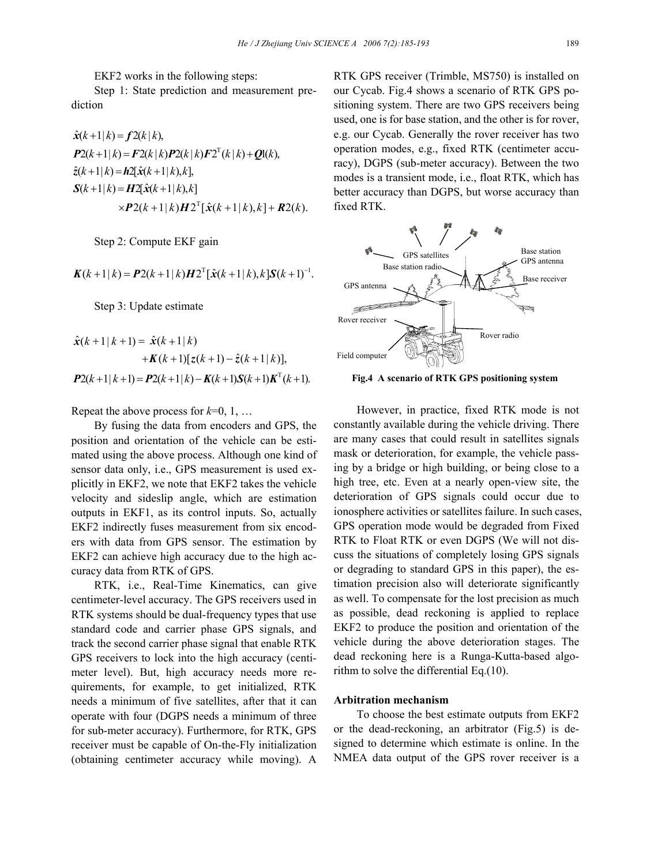EKF2 works in the following steps:

Step 1: State prediction and measurement prediction

$$
\hat{x}(k+1|k) = f2(k|k),\nP2(k+1|k) = F2(k|k)P2(k|k)F2^{T}(k|k) + Q1(k),\n\hat{z}(k+1|k) = h2[\hat{x}(k+1|k),k],\nS(k+1|k) = H2[\hat{x}(k+1|k),k]\n\times P2(k+1|k)H2^{T}[\hat{x}(k+1|k),k] + R2(k).
$$

Step 2: Compute EKF gain

$$
\mathbf{K}(k+1|k) = \mathbf{P}2(k+1|k)\mathbf{H}2^{\mathrm{T}}[\hat{\mathbf{x}}(k+1|k),k]\mathbf{S}(k+1)^{-1}.
$$

Step 3: Update estimate

$$
\hat{x}(k+1|k+1) = \hat{x}(k+1|k) \n+K(k+1)[z(k+1) - \hat{z}(k+1|k)],
$$
\n
$$
P2(k+1|k+1) = P2(k+1|k) - K(k+1)S(k+1)K^{T}(k+1).
$$

Repeat the above process for *k*=0, 1, …

By fusing the data from encoders and GPS, the position and orientation of the vehicle can be estimated using the above process. Although one kind of sensor data only, i.e., GPS measurement is used explicitly in EKF2, we note that EKF2 takes the vehicle velocity and sideslip angle, which are estimation outputs in EKF1, as its control inputs. So, actually EKF2 indirectly fuses measurement from six encoders with data from GPS sensor. The estimation by EKF2 can achieve high accuracy due to the high accuracy data from RTK of GPS.

RTK, i.e., Real-Time Kinematics, can give centimeter-level accuracy. The GPS receivers used in RTK systems should be dual-frequency types that use standard code and carrier phase GPS signals, and track the second carrier phase signal that enable RTK GPS receivers to lock into the high accuracy (centimeter level). But, high accuracy needs more requirements, for example, to get initialized, RTK needs a minimum of five satellites, after that it can operate with four (DGPS needs a minimum of three for sub-meter accuracy). Furthermore, for RTK, GPS receiver must be capable of On-the-Fly initialization (obtaining centimeter accuracy while moving). A

RTK GPS receiver (Trimble, MS750) is installed on our Cycab. Fig.4 shows a scenario of RTK GPS positioning system. There are two GPS receivers being used, one is for base station, and the other is for rover, e.g. our Cycab. Generally the rover receiver has two operation modes, e.g., fixed RTK (centimeter accuracy), DGPS (sub-meter accuracy). Between the two modes is a transient mode, i.e., float RTK, which has better accuracy than DGPS, but worse accuracy than fixed RTK.





However, in practice, fixed RTK mode is not constantly available during the vehicle driving. There are many cases that could result in satellites signals mask or deterioration, for example, the vehicle passing by a bridge or high building, or being close to a high tree, etc. Even at a nearly open-view site, the deterioration of GPS signals could occur due to ionosphere activities or satellites failure. In such cases, GPS operation mode would be degraded from Fixed RTK to Float RTK or even DGPS (We will not discuss the situations of completely losing GPS signals or degrading to standard GPS in this paper), the estimation precision also will deteriorate significantly as well. To compensate for the lost precision as much as possible, dead reckoning is applied to replace EKF2 to produce the position and orientation of the vehicle during the above deterioration stages. The dead reckoning here is a Runga-Kutta-based algorithm to solve the differential Eq.(10).

#### **Arbitration mechanism**

To choose the best estimate outputs from EKF2 or the dead-reckoning, an arbitrator (Fig.5) is designed to determine which estimate is online. In the NMEA data output of the GPS rover receiver is a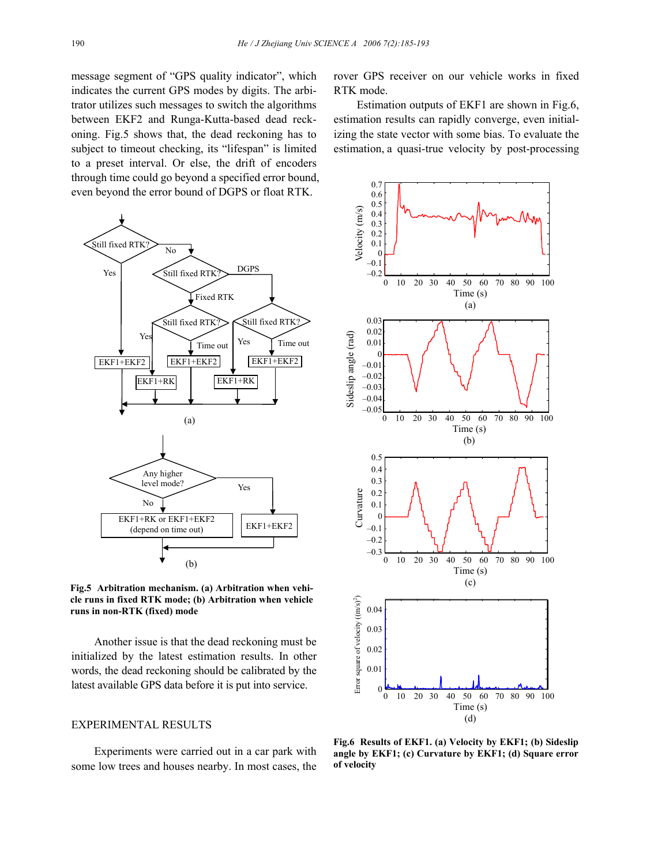message segment of "GPS quality indicator", which indicates the current GPS modes by digits. The arbitrator utilizes such messages to switch the algorithms between EKF2 and Runga-Kutta-based dead reckoning. Fig.5 shows that, the dead reckoning has to subject to timeout checking, its "lifespan" is limited to a preset interval. Or else, the drift of encoders through time could go beyond a specified error bound, even beyond the error bound of DGPS or float RTK.





Another issue is that the dead reckoning must be initialized by the latest estimation results. In other words, the dead reckoning should be calibrated by the latest available GPS data before it is put into service.

# EXPERIMENTAL RESULTS

Experiments were carried out in a car park with some low trees and houses nearby. In most cases, the

rover GPS receiver on our vehicle works in fixed RTK mode.

Estimation outputs of EKF1 are shown in Fig.6, estimation results can rapidly converge, even initializing the state vector with some bias. To evaluate the estimation, a quasi-true velocity by post-processing



**Fig.6 Results of EKF1. (a) Velocity by EKF1; (b) Sideslip angle by EKF1; (c) Curvature by EKF1; (d) Square error of velocity**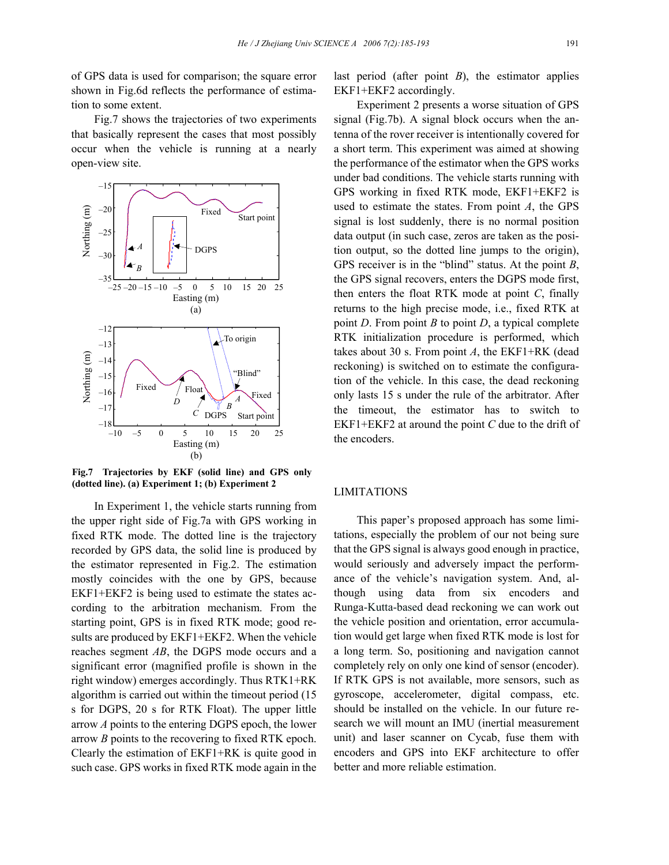of GPS data is used for comparison; the square error shown in Fig.6d reflects the performance of estimation to some extent.

Fig.7 shows the trajectories of two experiments that basically represent the cases that most possibly occur when the vehicle is running at a nearly open-view site.



**Fig.7 Trajectories by EKF (solid line) and GPS only (dotted line). (a) Experiment 1; (b) Experiment 2** 

In Experiment 1, the vehicle starts running from the upper right side of Fig.7a with GPS working in fixed RTK mode. The dotted line is the trajectory recorded by GPS data, the solid line is produced by the estimator represented in Fig.2. The estimation mostly coincides with the one by GPS, because EKF1+EKF2 is being used to estimate the states according to the arbitration mechanism. From the starting point, GPS is in fixed RTK mode; good results are produced by EKF1+EKF2. When the vehicle reaches segment *AB*, the DGPS mode occurs and a significant error (magnified profile is shown in the right window) emerges accordingly. Thus RTK1+RK algorithm is carried out within the timeout period (15 s for DGPS, 20 s for RTK Float). The upper little arrow *A* points to the entering DGPS epoch, the lower arrow *B* points to the recovering to fixed RTK epoch. Clearly the estimation of EKF1+RK is quite good in such case. GPS works in fixed RTK mode again in the

last period (after point *B*), the estimator applies EKF1+EKF2 accordingly.

Experiment 2 presents a worse situation of GPS signal (Fig.7b). A signal block occurs when the antenna of the rover receiver is intentionally covered for a short term. This experiment was aimed at showing the performance of the estimator when the GPS works under bad conditions. The vehicle starts running with GPS working in fixed RTK mode, EKF1+EKF2 is used to estimate the states. From point *A*, the GPS signal is lost suddenly, there is no normal position data output (in such case, zeros are taken as the position output, so the dotted line jumps to the origin), GPS receiver is in the "blind" status. At the point *B*, the GPS signal recovers, enters the DGPS mode first, then enters the float RTK mode at point *C*, finally returns to the high precise mode, i.e., fixed RTK at point *D*. From point *B* to point *D*, a typical complete RTK initialization procedure is performed, which takes about 30 s. From point *A*, the EKF1+RK (dead reckoning) is switched on to estimate the configuration of the vehicle. In this case, the dead reckoning only lasts 15 s under the rule of the arbitrator. After the timeout, the estimator has to switch to EKF1+EKF2 at around the point *C* due to the drift of the encoders.

# LIMITATIONS

This paper's proposed approach has some limitations, especially the problem of our not being sure that the GPS signal is always good enough in practice, would seriously and adversely impact the performance of the vehicle's navigation system. And, although using data from six encoders and Runga-Kutta-based dead reckoning we can work out the vehicle position and orientation, error accumulation would get large when fixed RTK mode is lost for a long term. So, positioning and navigation cannot completely rely on only one kind of sensor (encoder). If RTK GPS is not available, more sensors, such as gyroscope, accelerometer, digital compass, etc. should be installed on the vehicle. In our future research we will mount an IMU (inertial measurement unit) and laser scanner on Cycab, fuse them with encoders and GPS into EKF architecture to offer better and more reliable estimation.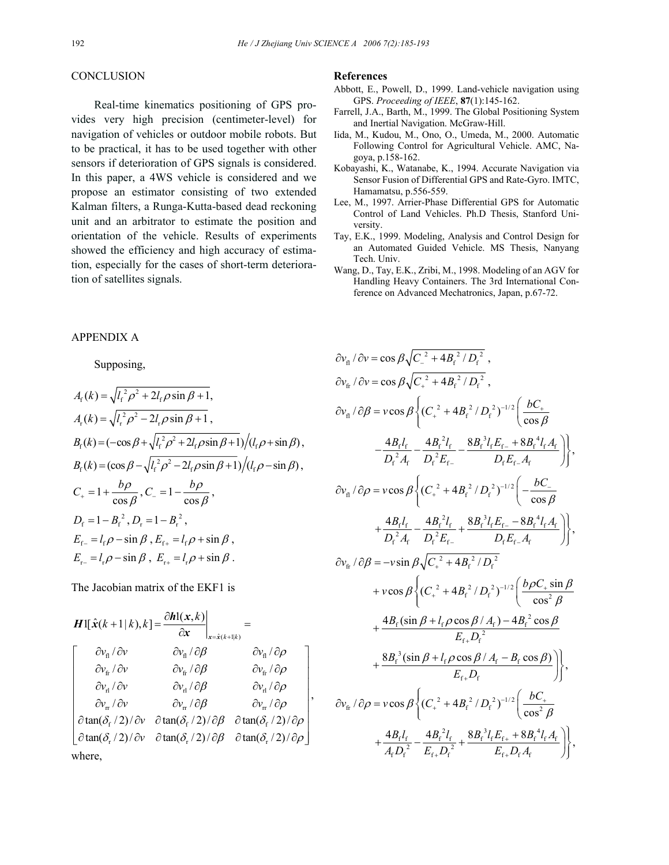# **CONCLUSION**

Real-time kinematics positioning of GPS provides very high precision (centimeter-level) for navigation of vehicles or outdoor mobile robots. But to be practical, it has to be used together with other sensors if deterioration of GPS signals is considered. In this paper, a 4WS vehicle is considered and we propose an estimator consisting of two extended Kalman filters, a Runga-Kutta-based dead reckoning unit and an arbitrator to estimate the position and orientation of the vehicle. Results of experiments showed the efficiency and high accuracy of estimation, especially for the cases of short-term deterioration of satellites signals.

### APPENDIX A

Supposing,

$$
A_{\rm f}(k) = \sqrt{l_{\rm f}^2 \rho^2 + 2l_{\rm f}\rho \sin \beta + 1},
$$
  
\n
$$
A_{\rm r}(k) = \sqrt{l_{\rm r}^2 \rho^2 - 2l_{\rm r}\rho \sin \beta + 1},
$$
  
\n
$$
B_{\rm f}(k) = (-\cos \beta + \sqrt{l_{\rm f}^2 \rho^2 + 2l_{\rm r}\rho \sin \beta + 1})/(l_{\rm r}\rho + \sin \beta),
$$
  
\n
$$
B_{\rm f}(k) = (\cos \beta - \sqrt{l_{\rm r}^2 \rho^2 - 2l_{\rm r}\rho \sin \beta + 1})/(l_{\rm r}\rho - \sin \beta),
$$
  
\n
$$
C_{+} = 1 + \frac{b\rho}{\cos \beta}, C_{-} = 1 - \frac{b\rho}{\cos \beta},
$$
  
\n
$$
D_{\rm f} = 1 - B_{\rm f}^2, D_{\rm r} = 1 - B_{\rm r}^2,
$$
  
\n
$$
E_{\rm f} = l_{\rm f}\rho - \sin \beta, E_{\rm f} = l_{\rm f}\rho + \sin \beta,
$$
  
\n
$$
E_{\rm r} = l_{\rm r}\rho - \sin \beta, E_{\rm r} = l_{\rm r}\rho + \sin \beta.
$$

The Jacobian matrix of the EKF1 is

$$
H1[\hat{x}(k+1|k),k] = \frac{\partial h1(x,k)}{\partial x}\Big|_{x=\hat{x}(k+1|k)} =
$$
\n
$$
\begin{bmatrix}\n\frac{\partial v_n}{\partial v} & \frac{\partial v_n}{\partial \theta} & \frac{\partial v_n}{\partial \theta} \\
\frac{\partial v_r}{\partial v} & \frac{\partial v_r}{\partial \theta} & \frac{\partial v_r}{\partial \theta} \\
\frac{\partial v_r}{\partial v} & \frac{\partial v_r}{\partial v} & \frac{\partial v_r}{\partial \theta} & \frac{\partial v_r}{\partial \theta} \\
\frac{\partial v_r}{\partial u} & \frac{\partial v_r}{\partial v} & \frac{\partial v_r}{\partial \theta} & \frac{\partial v_r}{\partial v} \\
\frac{\partial \tan(\delta_r/2)}{\partial v} & \frac{\partial \tan(\delta_r/2)}{\partial \theta} & \frac{\partial \tan(\delta_r/2)}{\partial \theta} \\
\frac{\partial \tan(\delta_r/2)}{\partial v} & \frac{\partial \tan(\delta_r/2)}{\partial \theta} & \frac{\partial \tan(\delta_r/2)}{\partial \theta}\end{bmatrix},
$$

#### **References**

- Abbott, E., Powell, D., 1999. Land-vehicle navigation using GPS. *Proceeding of IEEE*, **87**(1):145-162.
- Farrell, J.A., Barth, M., 1999. The Global Positioning System and Inertial Navigation. McGraw-Hill.
- Iida, M., Kudou, M., Ono, O., Umeda, M., 2000. Automatic Following Control for Agricultural Vehicle. AMC, Nagoya, p.158-162.
- Kobayashi, K., Watanabe, K., 1994. Accurate Navigation via Sensor Fusion of Differential GPS and Rate-Gyro. IMTC, Hamamatsu, p.556-559.
- Lee, M., 1997. Arrier-Phase Differential GPS for Automatic Control of Land Vehicles. Ph.D Thesis, Stanford University.
- Tay, E.K., 1999. Modeling, Analysis and Control Design for an Automated Guided Vehicle. MS Thesis, Nanyang Tech. Univ.
- Wang, D., Tay, E.K., Zribi, M., 1998. Modeling of an AGV for Handling Heavy Containers. The 3rd International Conference on Advanced Mechatronics, Japan, p.67-72.

$$
\partial v_{\text{fl}} / \partial v = \cos \beta \sqrt{C_{-}^{2} + 4B_{\text{f}}^{2} / D_{\text{f}}^{2}},
$$
  
\n
$$
\partial v_{\text{fr}} / \partial v = \cos \beta \sqrt{C_{+}^{2} + 4B_{\text{f}}^{2} / D_{\text{f}}^{2}},
$$
  
\n
$$
\partial v_{\text{fl}} / \partial \beta = v \cos \beta \left\{ (C_{+}^{2} + 4B_{\text{f}}^{2} / D_{\text{f}}^{2})^{-1/2} \left( \frac{bC_{+}}{\cos \beta} - \frac{4B_{\text{f}} l_{\text{f}}}{D_{\text{f}}^{2} A_{\text{f}}} - \frac{4B_{\text{f}}^{2} l_{\text{f}}}{D_{\text{f}}^{2} E_{\text{f}} - \frac{8B_{\text{f}}^{3} l_{\text{f}} E_{\text{f}} - 8B_{\text{f}}^{4} l_{\text{f}} A_{\text{f}}}{D_{\text{f}} E_{\text{f}} - A_{\text{f}}}\right)\right\},
$$
  
\n
$$
\partial v_{\text{fl}} / \partial \rho = v \cos \beta \left\{ (C_{+}^{2} + 4B_{\text{f}}^{2} / D_{\text{f}}^{2})^{-1/2} \left( - \frac{bC_{-}}{\cos \beta} + \frac{4B_{\text{f}} l_{\text{f}}}{D_{\text{f}}^{2} A_{\text{f}}} - \frac{4B_{\text{f}}^{2} l_{\text{f}}}{D_{\text{f}}^{2} E_{\text{f}}} - \frac{8B_{\text{f}}^{3} l_{\text{f}} E_{\text{f}} - 8B_{\text{f}}^{4} l_{\text{f}} A_{\text{f}}}{D_{\text{f}}^{2} A_{\text{f}}}\right)\right\},
$$
  
\n
$$
\partial v_{\text{fr}} / \partial \beta = -v \sin \beta \sqrt{C_{+}^{2} + 4B_{\text{f}}^{2} / D_{\text{f}}^{2}} + v \cos \beta \left\{ (C_{+}^{2} + 4B_{\text{f}}^{2} / D_{\text{f}}^{2})^{-1/2} \left( \frac{b \rho C_{+} \sin \beta}{\cos^{2} \beta} + \frac{4B_{
$$